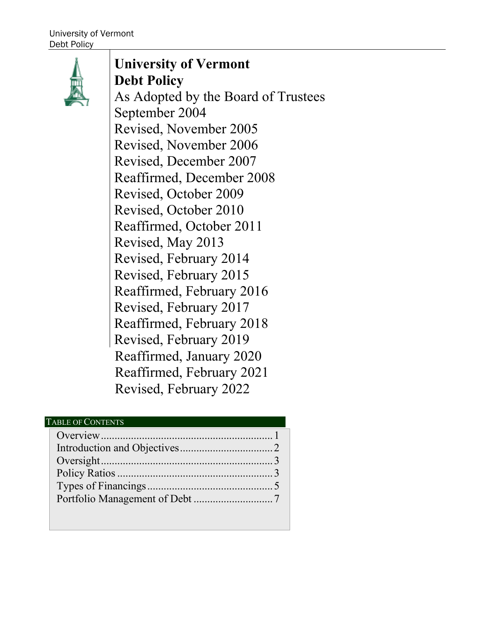

## **University of Vermont Debt Policy**

As Adopted by the Board of Trustees September 2004 Revised, November 2005 Revised, November 2006 Revised, December 2007 Reaffirmed, December 2008 Revised, October 2009 Revised, October 2010 Reaffirmed, October 2011 Revised, May 2013 Revised, February 2014 Revised, February 2015 Reaffirmed, February 2016 Revised, February 2017 Reaffirmed, February 2018 Revised, February 2019 Revised, February 2022 Reaffirmed, January 2020 Reaffirmed, February 2021

## TABLE OF CONTENTS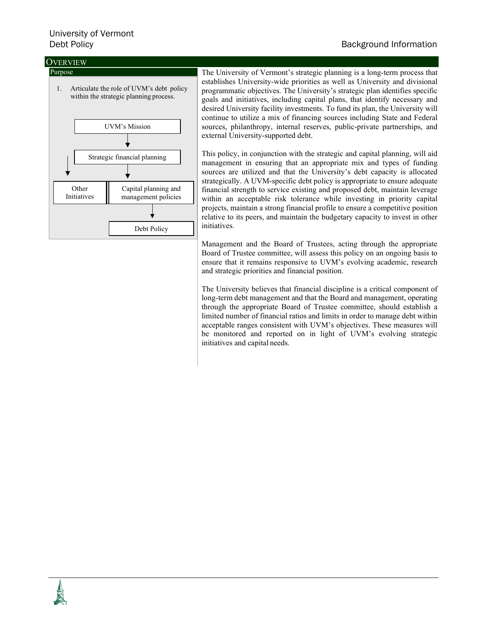# University of Vermont

## **Debt Policy** Background Information **Background Information**

## **OVERVIEW**



The University of Vermont's strategic planning is a long-term process that establishes University-wide priorities as well as University and divisional programmatic objectives. The University's strategic plan identifies specific goals and initiatives, including capital plans, that identify necessary and desired University facility investments. To fund its plan, the University will continue to utilize a mix of financing sources including State and Federal sources, philanthropy, internal reserves, public-private partnerships, and external University-supported debt.

This policy, in conjunction with the strategic and capital planning, will aid management in ensuring that an appropriate mix and types of funding sources are utilized and that the University's debt capacity is allocated strategically. A UVM-specific debt policy is appropriate to ensure adequate financial strength to service existing and proposed debt, maintain leverage within an acceptable risk tolerance while investing in priority capital projects, maintain a strong financial profile to ensure a competitive position relative to its peers, and maintain the budgetary capacity to invest in other initiatives.

Management and the Board of Trustees, acting through the appropriate Board of Trustee committee, will assess this policy on an ongoing basis to ensure that it remains responsive to UVM's evolving academic, research and strategic priorities and financial position.

The University believes that financial discipline is a critical component of long-term debt management and that the Board and management, operating through the appropriate Board of Trustee committee, should establish a limited number of financial ratios and limits in order to manage debt within acceptable ranges consistent with UVM's objectives. These measures will be monitored and reported on in light of UVM's evolving strategic initiatives and capital needs.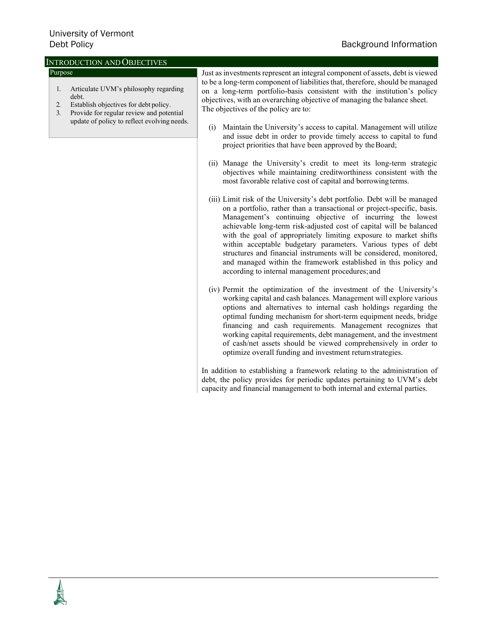## Background Information

| <b>INTRODUCTION AND OBJECTIVES</b>                                                                                                                                                                              |                                                                                                                                                                                                                                                                                                                                                                                                                                                                                                                                                                                                                                                                                                                                                                                                                                                                                                                                                                                                                                                                                                                                                                                                                                                                                                                                                                                                                             |
|-----------------------------------------------------------------------------------------------------------------------------------------------------------------------------------------------------------------|-----------------------------------------------------------------------------------------------------------------------------------------------------------------------------------------------------------------------------------------------------------------------------------------------------------------------------------------------------------------------------------------------------------------------------------------------------------------------------------------------------------------------------------------------------------------------------------------------------------------------------------------------------------------------------------------------------------------------------------------------------------------------------------------------------------------------------------------------------------------------------------------------------------------------------------------------------------------------------------------------------------------------------------------------------------------------------------------------------------------------------------------------------------------------------------------------------------------------------------------------------------------------------------------------------------------------------------------------------------------------------------------------------------------------------|
| Purpose<br>Articulate UVM's philosophy regarding<br>1.<br>debt.<br>Establish objectives for debt policy.<br>2.<br>Provide for regular review and potential<br>3.<br>update of policy to reflect evolving needs. | Just as investments represent an integral component of assets, debt is viewed<br>to be a long-term component of liabilities that, therefore, should be managed<br>on a long-term portfolio-basis consistent with the institution's policy<br>objectives, with an overarching objective of managing the balance sheet.<br>The objectives of the policy are to:<br>Maintain the University's access to capital. Management will utilize<br>(i)<br>and issue debt in order to provide timely access to capital to fund<br>project priorities that have been approved by the Board;<br>(ii) Manage the University's credit to meet its long-term strategic<br>objectives while maintaining creditworthiness consistent with the<br>most favorable relative cost of capital and borrowing terms.<br>(iii) Limit risk of the University's debt portfolio. Debt will be managed<br>on a portfolio, rather than a transactional or project-specific, basis.<br>Management's continuing objective of incurring the lowest<br>achievable long-term risk-adjusted cost of capital will be balanced<br>with the goal of appropriately limiting exposure to market shifts<br>within acceptable budgetary parameters. Various types of debt<br>structures and financial instruments will be considered, monitored,<br>and managed within the framework established in this policy and<br>according to internal management procedures; and |
|                                                                                                                                                                                                                 | (iv) Permit the optimization of the investment of the University's<br>working capital and cash balances. Management will explore various<br>options and alternatives to internal cash holdings regarding the<br>optimal funding mechanism for short-term equipment needs, bridge<br>financing and cash requirements. Management recognizes that<br>working capital requirements, debt management, and the investment<br>of cash/net assets should be viewed comprehensively in order to<br>optimize overall funding and investment return strategies.                                                                                                                                                                                                                                                                                                                                                                                                                                                                                                                                                                                                                                                                                                                                                                                                                                                                       |

In addition to establishing a framework relating to the administration of debt, the policy provides for periodic updates pertaining to UVM's debt capacity and financial management to both internal and external parties.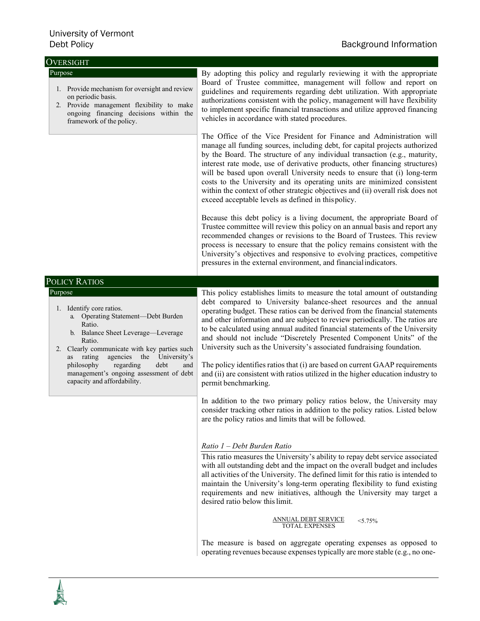| <b>OVERSIGHT</b>                                                                                                                                                                                                                                                                                                                                     |                                                                                                                                                                                                                                                                                                                                                                                                                                                                                                                                                                                                                                                                                                                                                                                                                                                                                                                                                                                                                                                                                                                                                                                                                                                                                                                                                                                                                                                                                                                                                                             |
|------------------------------------------------------------------------------------------------------------------------------------------------------------------------------------------------------------------------------------------------------------------------------------------------------------------------------------------------------|-----------------------------------------------------------------------------------------------------------------------------------------------------------------------------------------------------------------------------------------------------------------------------------------------------------------------------------------------------------------------------------------------------------------------------------------------------------------------------------------------------------------------------------------------------------------------------------------------------------------------------------------------------------------------------------------------------------------------------------------------------------------------------------------------------------------------------------------------------------------------------------------------------------------------------------------------------------------------------------------------------------------------------------------------------------------------------------------------------------------------------------------------------------------------------------------------------------------------------------------------------------------------------------------------------------------------------------------------------------------------------------------------------------------------------------------------------------------------------------------------------------------------------------------------------------------------------|
| Purpose<br>1. Provide mechanism for oversight and review<br>on periodic basis.<br>2. Provide management flexibility to make<br>ongoing financing decisions within the<br>framework of the policy.                                                                                                                                                    | By adopting this policy and regularly reviewing it with the appropriate<br>Board of Trustee committee, management will follow and report on<br>guidelines and requirements regarding debt utilization. With appropriate<br>authorizations consistent with the policy, management will have flexibility<br>to implement specific financial transactions and utilize approved financing<br>vehicles in accordance with stated procedures.                                                                                                                                                                                                                                                                                                                                                                                                                                                                                                                                                                                                                                                                                                                                                                                                                                                                                                                                                                                                                                                                                                                                     |
|                                                                                                                                                                                                                                                                                                                                                      | The Office of the Vice President for Finance and Administration will<br>manage all funding sources, including debt, for capital projects authorized<br>by the Board. The structure of any individual transaction (e.g., maturity,<br>interest rate mode, use of derivative products, other financing structures)<br>will be based upon overall University needs to ensure that (i) long-term<br>costs to the University and its operating units are minimized consistent<br>within the context of other strategic objectives and (ii) overall risk does not<br>exceed acceptable levels as defined in this policy.                                                                                                                                                                                                                                                                                                                                                                                                                                                                                                                                                                                                                                                                                                                                                                                                                                                                                                                                                          |
|                                                                                                                                                                                                                                                                                                                                                      | Because this debt policy is a living document, the appropriate Board of<br>Trustee committee will review this policy on an annual basis and report any<br>recommended changes or revisions to the Board of Trustees. This review<br>process is necessary to ensure that the policy remains consistent with the<br>University's objectives and responsive to evolving practices, competitive<br>pressures in the external environment, and financial indicators.                                                                                                                                                                                                                                                                                                                                                                                                                                                                                                                                                                                                                                                                                                                                                                                                                                                                                                                                                                                                                                                                                                             |
| POLICY RATIOS                                                                                                                                                                                                                                                                                                                                        |                                                                                                                                                                                                                                                                                                                                                                                                                                                                                                                                                                                                                                                                                                                                                                                                                                                                                                                                                                                                                                                                                                                                                                                                                                                                                                                                                                                                                                                                                                                                                                             |
| Purpose<br>1. Identify core ratios.<br>a. Operating Statement-Debt Burden<br>Ratio.<br>b. Balance Sheet Leverage-Leverage<br>Ratio.<br>2. Clearly communicate with key parties such<br>rating<br>agencies the University's<br>as<br>philosophy<br>regarding<br>debt<br>and<br>management's ongoing assessment of debt<br>capacity and affordability. | This policy establishes limits to measure the total amount of outstanding<br>debt compared to University balance-sheet resources and the annual<br>operating budget. These ratios can be derived from the financial statements<br>and other information and are subject to review periodically. The ratios are<br>to be calculated using annual audited financial statements of the University<br>and should not include "Discretely Presented Component Units" of the<br>University such as the University's associated fundraising foundation.<br>The policy identifies ratios that (i) are based on current GAAP requirements<br>and (ii) are consistent with ratios utilized in the higher education industry to<br>permit benchmarking.<br>In addition to the two primary policy ratios below, the University may<br>consider tracking other ratios in addition to the policy ratios. Listed below<br>are the policy ratios and limits that will be followed.<br>Ratio 1 - Debt Burden Ratio<br>This ratio measures the University's ability to repay debt service associated<br>with all outstanding debt and the impact on the overall budget and includes<br>all activities of the University. The defined limit for this ratio is intended to<br>maintain the University's long-term operating flexibility to fund existing<br>requirements and new initiatives, although the University may target a<br>desired ratio below this limit.<br>ANNUAL DEBT SERVICE TOTAL EXPENSES<br>$< 5.75\%$<br>The measure is based on aggregate operating expenses as opposed to |
|                                                                                                                                                                                                                                                                                                                                                      | operating revenues because expenses typically are more stable (e.g., no one-                                                                                                                                                                                                                                                                                                                                                                                                                                                                                                                                                                                                                                                                                                                                                                                                                                                                                                                                                                                                                                                                                                                                                                                                                                                                                                                                                                                                                                                                                                |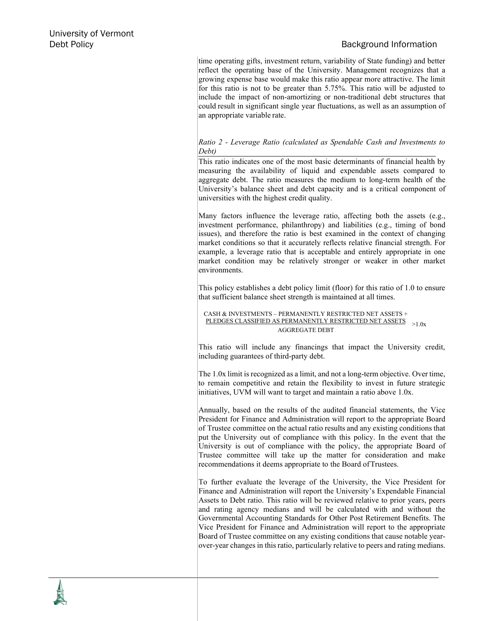## **Debt Policy** Background Information **Background Information**

time operating gifts, investment return, variability of State funding) and better reflect the operating base of the University. Management recognizes that a growing expense base would make this ratio appear more attractive. The limit for this ratio is not to be greater than 5.75%. This ratio will be adjusted to include the impact of non-amortizing or non-traditional debt structures that could result in significant single year fluctuations, as well as an assumption of an appropriate variable rate.

## *Ratio 2 - Leverage Ratio (calculated as Spendable Cash and Investments to Debt)*

This ratio indicates one of the most basic determinants of financial health by measuring the availability of liquid and expendable assets compared to aggregate debt. The ratio measures the medium to long-term health of the University's balance sheet and debt capacity and is a critical component of universities with the highest credit quality.

Many factors influence the leverage ratio, affecting both the assets (e.g., investment performance, philanthropy) and liabilities (e.g., timing of bond issues), and therefore the ratio is best examined in the context of changing market conditions so that it accurately reflects relative financial strength. For example, a leverage ratio that is acceptable and entirely appropriate in one market condition may be relatively stronger or weaker in other market environments.

This policy establishes a debt policy limit (floor) for this ratio of 1.0 to ensure that sufficient balance sheet strength is maintained at all times.

CASH & INVESTMENTS – PERMANENTLY RESTRICTED NET ASSETS + PLEDGES CLASSIFIED AS PERMANENTLY RESTRICTED NET ASSETS >1.0x AGGREGATE DEBT

This ratio will include any financings that impact the University credit, including guarantees of third-party debt.

The 1.0x limit is recognized as a limit, and not a long-term objective. Over time, to remain competitive and retain the flexibility to invest in future strategic initiatives, UVM will want to target and maintain a ratio above 1.0x.

Annually, based on the results of the audited financial statements, the Vice President for Finance and Administration will report to the appropriate Board of Trustee committee on the actual ratio results and any existing conditions that put the University out of compliance with this policy. In the event that the University is out of compliance with the policy, the appropriate Board of Trustee committee will take up the matter for consideration and make recommendations it deems appropriate to the Board ofTrustees.

To further evaluate the leverage of the University, the Vice President for Finance and Administration will report the University's Expendable Financial Assets to Debt ratio. This ratio will be reviewed relative to prior years, peers and rating agency medians and will be calculated with and without the Governmental Accounting Standards for Other Post Retirement Benefits. The Vice President for Finance and Administration will report to the appropriate Board of Trustee committee on any existing conditions that cause notable yearover-year changes in this ratio, particularly relative to peers and rating medians.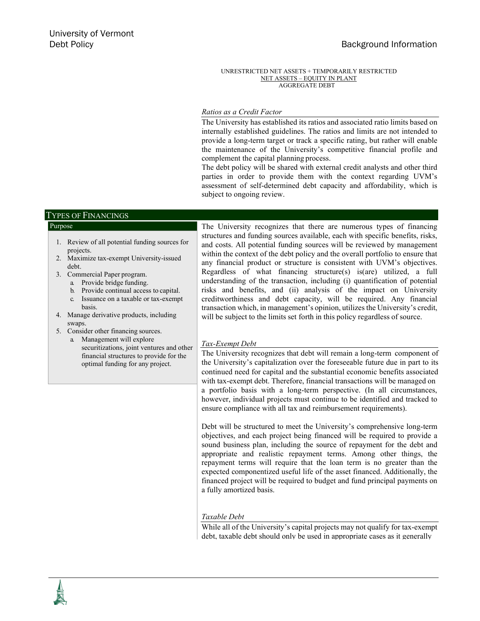UNRESTRICTED NET ASSETS + TEMPORARILY RESTRICTED NET ASSETS – EQUITY IN PLANT AGGREGATE DEBT

## *Ratios as a Credit Factor*

The University has established its ratios and associated ratio limits based on internally established guidelines. The ratios and limits are not intended to provide a long-term target or track a specific rating, but rather will enable the maintenance of the University's competitive financial profile and complement the capital planning process.

The debt policy will be shared with external credit analysts and other third parties in order to provide them with the context regarding UVM's assessment of self-determined debt capacity and affordability, which is subject to ongoing review.

## TYPES OF FINANCINGS

### Purpose The University recognizes that there are numerous types of financing structures and funding sources available, each with specific benefits, risks, and costs. All potential funding sources will be reviewed by management within the context of the debt policy and the overall portfolio to ensure that any financial product or structure is consistent with UVM's objectives. Regardless of what financing structure(s) is(are) utilized, a full understanding of the transaction, including (i) quantification of potential risks and benefits, and (ii) analysis of the impact on University creditworthiness and debt capacity, will be required. Any financial transaction which, in management's opinion, utilizes the University's credit, will be subject to the limits set forth in this policy regardless of source. *Tax-Exempt Debt* The University recognizes that debt will remain a long-term component of the University's capitalization over the foreseeable future due in part to its continued need for capital and the substantial economic benefits associated with tax-exempt debt. Therefore, financial transactions will be managed on a portfolio basis with a long-term perspective. (In all circumstances, however, individual projects must continue to be identified and tracked to ensure compliance with all tax and reimbursement requirements). Debt will be structured to meet the University's comprehensive long-term objectives, and each project being financed will be required to provide a sound business plan, including the source of repayment for the debt and appropriate and realistic repayment terms. Among other things, the repayment terms will require that the loan term is no greater than the expected componentized useful life of the asset financed. Additionally, the financed project will be required to budget and fund principal payments on a fully amortized basis. 1. Review of all potential funding sources for projects. 2. Maximize tax-exempt University-issued debt. 3. Commercial Paper program. a. Provide bridge funding. b. Provide continual access to capital. c. Issuance on a taxable or tax-exempt basis. 4. Manage derivative products, including swaps. 5. Consider other financing sources. a. Management will explore securitizations, joint ventures and other financial structures to provide for the optimal funding for any project.

## *Taxable Debt*

While all of the University's capital projects may not qualify for tax-exempt debt, taxable debt should only be used in appropriate cases as it generally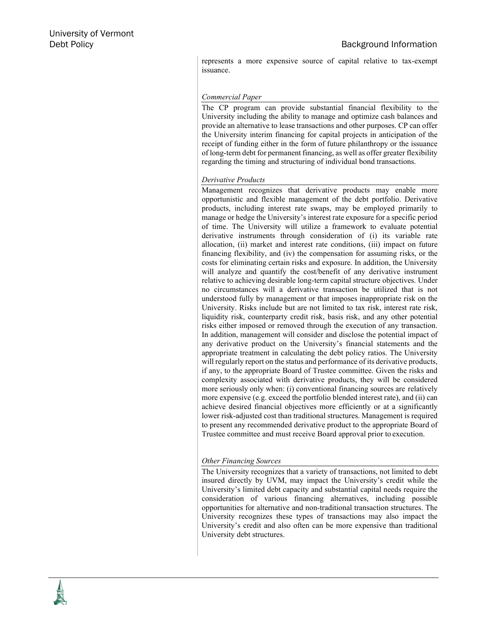represents a more expensive source of capital relative to tax-exempt issuance.

## *Commercial Paper*

The CP program can provide substantial financial flexibility to the University including the ability to manage and optimize cash balances and provide an alternative to lease transactions and other purposes. CP can offer the University interim financing for capital projects in anticipation of the receipt of funding either in the form of future philanthropy or the issuance of long-term debt for permanent financing, as well as offer greater flexibility regarding the timing and structuring of individual bond transactions.

## *Derivative Products*

Management recognizes that derivative products may enable more opportunistic and flexible management of the debt portfolio. Derivative products, including interest rate swaps, may be employed primarily to manage or hedge the University's interest rate exposure for a specific period of time. The University will utilize a framework to evaluate potential derivative instruments through consideration of (i) its variable rate allocation, (ii) market and interest rate conditions, (iii) impact on future financing flexibility, and (iv) the compensation for assuming risks, or the costs for eliminating certain risks and exposure. In addition, the University will analyze and quantify the cost/benefit of any derivative instrument relative to achieving desirable long-term capital structure objectives. Under no circumstances will a derivative transaction be utilized that is not understood fully by management or that imposes inappropriate risk on the University. Risks include but are not limited to tax risk, interest rate risk, liquidity risk, counterparty credit risk, basis risk, and any other potential risks either imposed or removed through the execution of any transaction. In addition, management will consider and disclose the potential impact of any derivative product on the University's financial statements and the appropriate treatment in calculating the debt policy ratios. The University will regularly report on the status and performance of its derivative products, if any, to the appropriate Board of Trustee committee. Given the risks and complexity associated with derivative products, they will be considered more seriously only when: (i) conventional financing sources are relatively more expensive (e.g. exceed the portfolio blended interest rate), and (ii) can achieve desired financial objectives more efficiently or at a significantly lower risk-adjusted cost than traditional structures. Management is required to present any recommended derivative product to the appropriate Board of Trustee committee and must receive Board approval prior to execution.

## *Other Financing Sources*

The University recognizes that a variety of transactions, not limited to debt insured directly by UVM, may impact the University's credit while the University's limited debt capacity and substantial capital needs require the consideration of various financing alternatives, including possible opportunities for alternative and non-traditional transaction structures. The University recognizes these types of transactions may also impact the University's credit and also often can be more expensive than traditional University debt structures.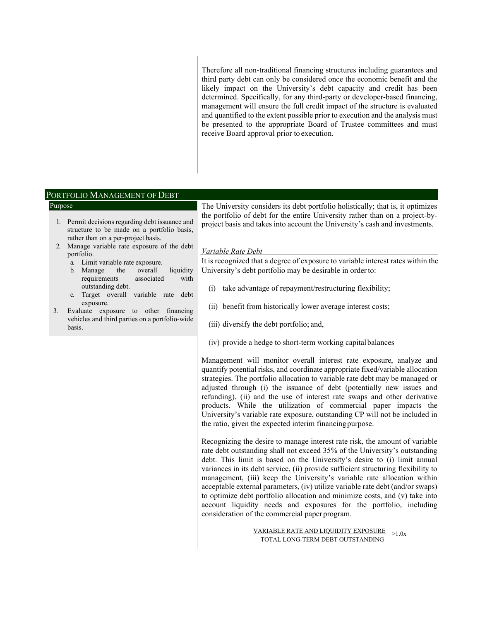Therefore all non-traditional financing structures including guarantees and third party debt can only be considered once the economic benefit and the likely impact on the University's debt capacity and credit has been determined. Specifically, for any third-party or developer-based financing, management will ensure the full credit impact of the structure is evaluated and quantified to the extent possible prior to execution and the analysis must be presented to the appropriate Board of Trustee committees and must receive Board approval prior to execution.

## PORTFOLIO MANAGEMENT OF DEBT

- 1. Permit decisions regarding debt issuance and structure to be made on a portfolio basis, rather than on a per-project basis.
- 2. Manage variable rate exposure of the debt portfolio.
	- a. Limit variable rate exposure.
	- b. Manage the overall liquidity requirements associated with outstanding debt.
	- c. Target overall variable rate debt exposure.
- 3. Evaluate exposure to other financing vehicles and third parties on a portfolio-wide basis.

Purpose The University considers its debt portfolio holistically; that is, it optimizes the portfolio of debt for the entire University rather than on a project-byproject basis and takes into account the University's cash and investments.

### *Variable Rate Debt*

It is recognized that a degree of exposure to variable interest rates within the University's debt portfolio may be desirable in orderto:

- (i) take advantage of repayment/restructuring flexibility;
- (ii) benefit from historically lower average interest costs;
- (iii) diversify the debt portfolio; and,
- (iv) provide a hedge to short-term working capitalbalances

Management will monitor overall interest rate exposure, analyze and quantify potential risks, and coordinate appropriate fixed/variable allocation strategies. The portfolio allocation to variable rate debt may be managed or adjusted through (i) the issuance of debt (potentially new issues and refunding), (ii) and the use of interest rate swaps and other derivative products. While the utilization of commercial paper impacts the University's variable rate exposure, outstanding CP will not be included in the ratio, given the expected interim financingpurpose.

Recognizing the desire to manage interest rate risk, the amount of variable rate debt outstanding shall not exceed 35% of the University's outstanding debt. This limit is based on the University's desire to (i) limit annual variances in its debt service, (ii) provide sufficient structuring flexibility to management, (iii) keep the University's variable rate allocation within acceptable external parameters, (iv) utilize variable rate debt (and/or swaps) to optimize debt portfolio allocation and minimize costs, and (v) take into account liquidity needs and exposures for the portfolio, including consideration of the commercial paper program.

> VARIABLE RATE AND LIQUIDITY EXPOSURE >1.0x TOTAL LONG-TERM DEBT OUTSTANDING